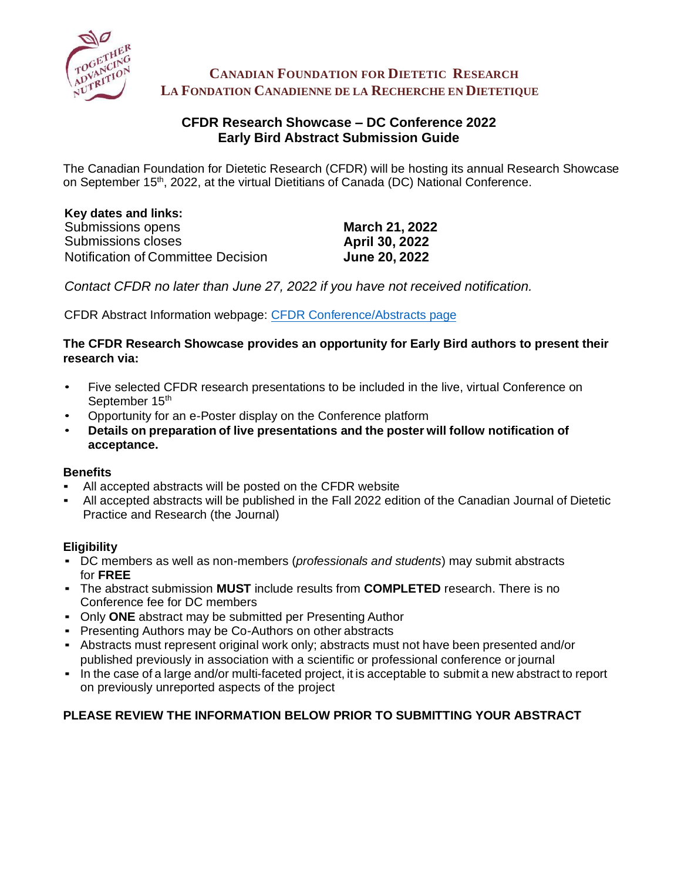

**CANADIAN FOUNDATION FOR DIETETIC RESEARCH LA FONDATION CANADIENNE DE LA RECHERCHE EN DIETETIQUE**

# **CFDR Research Showcase – DC Conference 2022 Early Bird Abstract Submission Guide**

The Canadian Foundation for Dietetic Research (CFDR) will be hosting its annual Research Showcase on September 15<sup>th</sup>, 2022, at the virtual Dietitians of Canada (DC) National Conference.

| Key dates and links:               |                       |
|------------------------------------|-----------------------|
| Submissions opens                  | <b>March 21, 2022</b> |
| Submissions closes                 | <b>April 30, 2022</b> |
| Notification of Committee Decision | <b>June 20, 2022</b>  |

*Contact CFDR no later than June 27, 2022 if you have not received notification.* 

CFDR Abstract Information webpage: [CFDR Conference/Abstracts page](https://www.cfdr.ca/Sharing/Conference.aspx)

### **The CFDR Research Showcase provides an opportunity for Early Bird authors to present their research via:**

- Five selected CFDR research presentations to be included in the live, virtual Conference on September 15th
- Opportunity for an e-Poster display on the Conference platform
- **Details on preparation of live presentations and the poster will follow notification of acceptance.**

# **Benefits**

- All accepted abstracts will be posted on the CFDR website
- All accepted abstracts will be published in the Fall 2022 edition of the Canadian Journal of Dietetic Practice and Research (the Journal)

# **Eligibility**

- DC members as well as non-members (*professionals and students*) may submit abstracts for **FREE**
- The abstract submission **MUST** include results from **COMPLETED** research. There is no Conference fee for DC members
- Only **ONE** abstract may be submitted per Presenting Author
- **Presenting Authors may be Co-Authors on other abstracts**
- Abstracts must represent original work only; abstracts must not have been presented and/or published previously in association with a scientific or professional conference or journal
- In the case of a large and/or multi-faceted project, it is acceptable to submit a new abstract to report on previously unreported aspects of the project

# **PLEASE REVIEW THE INFORMATION BELOW PRIOR TO SUBMITTING YOUR ABSTRACT**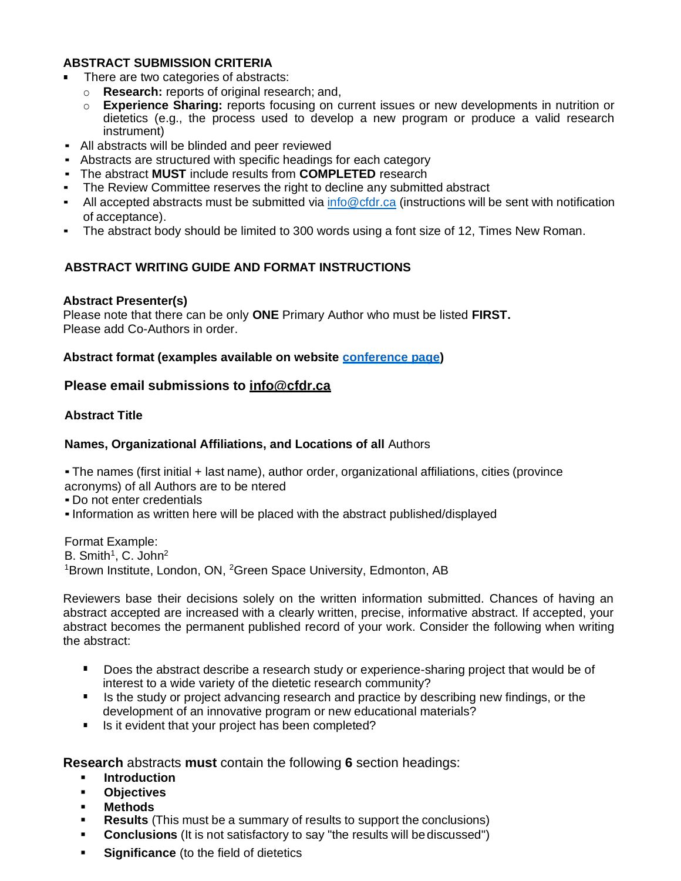### **ABSTRACT SUBMISSION CRITERIA**

- There are two categories of abstracts:
	- o **Research:** reports of original research; and,
	- o **Experience Sharing:** reports focusing on current issues or new developments in nutrition or dietetics (e.g., the process used to develop a new program or produce a valid research instrument)
- All abstracts will be blinded and peer reviewed
- Abstracts are structured with specific headings for each category
- The abstract **MUST** include results from **COMPLETED** research
- The Review Committee reserves the right to decline any submitted abstract
- All accepted abstracts must be submitted via [info@cfdr.ca](mailto:info@cfdr.ca) (instructions will be sent with notification of acceptance).
- The abstract body should be limited to 300 words using a font size of 12, Times New Roman.

## **ABSTRACT WRITING GUIDE AND FORMAT INSTRUCTIONS**

#### **Abstract Presenter(s)**

Please note that there can be only **ONE** Primary Author who must be listed **FIRST.** Please add Co-Authors in order.

### **Abstract format (examples available on website [conference page\)](https://www.cfdr.ca/Sharing/Conference.aspx)**

## **Please email submissions to [info@cfdr.ca](mailto:info@cfdr.ca)**

### **Abstract Title**

### **Names, Organizational Affiliations, and Locations of all** Authors

▪ The names (first initial + last name), author order, organizational affiliations, cities (province acronyms) of all Authors are to be ntered

▪ Do not enter credentials

▪Information as written here will be placed with the abstract published/displayed

Format Example: B. Smith<sup>1</sup>, C. John<sup>2</sup> <sup>1</sup>Brown Institute, London, ON, <sup>2</sup>Green Space University, Edmonton, AB

Reviewers base their decisions solely on the written information submitted. Chances of having an abstract accepted are increased with a clearly written, precise, informative abstract. If accepted, your abstract becomes the permanent published record of your work. Consider the following when writing the abstract:

- Does the abstract describe a research study or experience-sharing project that would be of interest to a wide variety of the dietetic research community?
- Is the study or project advancing research and practice by describing new findings, or the development of an innovative program or new educational materials?
- Is it evident that your project has been completed?

**Research** abstracts **must** contain the following **6** section headings:

- **Introduction**
- **Objectives**
- **Methods**
- **Results** (This must be a summary of results to support the conclusions)
- **Conclusions** (It is not satisfactory to say "the results will be discussed")
- **Significance** (to the field of dietetics